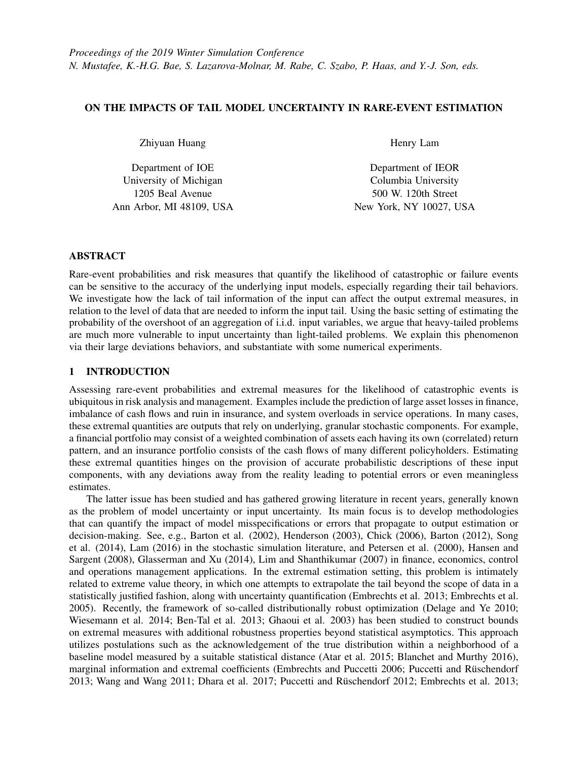# ON THE IMPACTS OF TAIL MODEL UNCERTAINTY IN RARE-EVENT ESTIMATION

Zhiyuan Huang

Department of IOE University of Michigan 1205 Beal Avenue Ann Arbor, MI 48109, USA Henry Lam

Department of IEOR Columbia University 500 W. 120th Street New York, NY 10027, USA

# ABSTRACT

Rare-event probabilities and risk measures that quantify the likelihood of catastrophic or failure events can be sensitive to the accuracy of the underlying input models, especially regarding their tail behaviors. We investigate how the lack of tail information of the input can affect the output extremal measures, in relation to the level of data that are needed to inform the input tail. Using the basic setting of estimating the probability of the overshoot of an aggregation of i.i.d. input variables, we argue that heavy-tailed problems are much more vulnerable to input uncertainty than light-tailed problems. We explain this phenomenon via their large deviations behaviors, and substantiate with some numerical experiments.

# 1 INTRODUCTION

Assessing rare-event probabilities and extremal measures for the likelihood of catastrophic events is ubiquitous in risk analysis and management. Examples include the prediction of large asset losses in finance, imbalance of cash flows and ruin in insurance, and system overloads in service operations. In many cases, these extremal quantities are outputs that rely on underlying, granular stochastic components. For example, a financial portfolio may consist of a weighted combination of assets each having its own (correlated) return pattern, and an insurance portfolio consists of the cash flows of many different policyholders. Estimating these extremal quantities hinges on the provision of accurate probabilistic descriptions of these input components, with any deviations away from the reality leading to potential errors or even meaningless estimates.

The latter issue has been studied and has gathered growing literature in recent years, generally known as the problem of model uncertainty or input uncertainty. Its main focus is to develop methodologies that can quantify the impact of model misspecifications or errors that propagate to output estimation or decision-making. See, e.g., Barton et al. (2002), Henderson (2003), Chick (2006), Barton (2012), Song et al. (2014), Lam (2016) in the stochastic simulation literature, and Petersen et al. (2000), Hansen and Sargent (2008), Glasserman and Xu (2014), Lim and Shanthikumar (2007) in finance, economics, control and operations management applications. In the extremal estimation setting, this problem is intimately related to extreme value theory, in which one attempts to extrapolate the tail beyond the scope of data in a statistically justified fashion, along with uncertainty quantification (Embrechts et al. 2013; Embrechts et al. 2005). Recently, the framework of so-called distributionally robust optimization (Delage and Ye 2010; Wiesemann et al. 2014; Ben-Tal et al. 2013; Ghaoui et al. 2003) has been studied to construct bounds on extremal measures with additional robustness properties beyond statistical asymptotics. This approach utilizes postulations such as the acknowledgement of the true distribution within a neighborhood of a baseline model measured by a suitable statistical distance (Atar et al. 2015; Blanchet and Murthy 2016), marginal information and extremal coefficients (Embrechts and Puccetti 2006; Puccetti and Rüschendorf 2013; Wang and Wang 2011; Dhara et al. 2017; Puccetti and Rüschendorf 2012; Embrechts et al. 2013;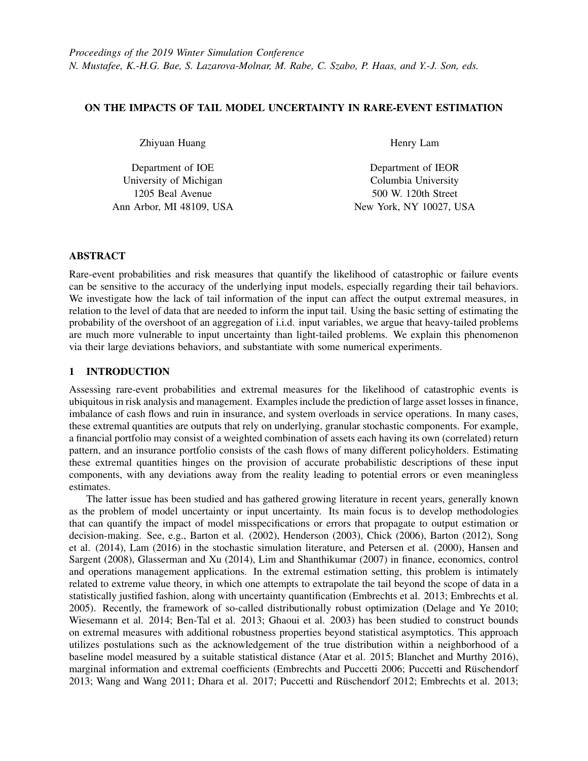Yuen et al. 2019), moments and shape assumptions on the tail such as monotonicity or convexity (Lam and Mottet 2017; Van Parys et al. 2019; Li et al. 2019). In simulation-based rare-event analysis, Nakayama (1995), Nakayama (1998) studied methods to efficiently compute sensitivities of rare-event probabilities with respect to model parameters, and Nelson et al. (2019) proposed an averaging of distributions to fit input models to enhance tail performances.

In contrast to most past literature that focused on the technique in quantifying model uncertainty impacts, here we address several validity questions that arise when, given input data, a modeler chooses to use "standard" approaches to obtain estimates and quantify uncertainty, namely:

- 1. By simply using the empirical distribution as my input model fit, would the rare-event estimate be reasonably close to the truth? (assuming computational or Monte Carlo noise is negligible)
- 2. Following the point estimate in Question 1, would it work if one runs a bootstrap to obtain a confidence interval that accounts for the input data noise?
- 3. If the bootstrap does not work, would incorporating extreme value theory in fitting the input tail helps with more reliable uncertainty quantification?

Our viewpoint is that the main source of uncertainty in determining the accuracy of rare-event estimation comes from the lack of knowledge of the tail of the input models. The main body (i.e., non-tail) part of the input distribution can be fit by both parametric and nonparametric techniques, where there are typically adequate data to perform such fit (and in Question 1 above, we simply use the empirical distribution as the fit). However, it is the portion beyond the scope of data that determines the distributional tail and in turn the rare-event behaviors. Thus, before we go to the above questions, we first focus on:

0. How does truncating the tail of the input model affect the rare-event estimate?

Our main contention is that heavy-tailed problems could be much more challenging than light-tailed counterparts regarding estimation and uncertainty quantification using the standard approaches in Questions 1-3. This challenge roots from Question 0 in that truncating the input tail in a heavy-tailed system exerts a huge effect on the rare-event estimate, when the truncation level represents the typical level of knowledge that the data informs (e.g., the top 1% or 0:1% of the data). As a consequence, using empirical distribution, or bootstrap on the empirical distribution, which significantly ignores the tail content, would fail to estimate the rare-event quantity and vastly under-estimate the uncertainty. Using extreme value theory in Question 3 to extrapolate tail (such as the peak-over-threshold method, e.g. Leadbetter 1991) helps to an extent, but could introduce extra bias, at least using our fitting methods (though we should point out that better techniques are available). On the other hand, the effect of missing tails on light-tailed estimation is relatively milder.

The larger effect from truncating the input tail on heavy-tailed problems can be explained from their large deviations behaviors that pertain to the one or several "big jumps" (Embrechts et al. 2013; Denisov et al. 2008; Rhee et al. 2016), i.e., to invoke a rare event, one or several input components exhibit huge values. On the other hand, light-tailed systems invoke rare events by having each component contributing a small shift and adding these contributions. Thus, to accurately estimate a heavy-tail rare event, one needs to accurately estimate the far tail of each input component, whereas this is not necessary in light-tailed systems. In fact, ignoring the tail of heavy-tail inputs would lead to estimates as if the system is light-tail, and the ultimate effect could be that the estimation error is as large as the rare-event probability of interest, deeming the estimation meaningless.

We point out that, regarding Question 0, our study is related to Dupuis et al. (2018), Blanchet et al. (2014), Lam and Mottet (2015) and especially Olvera-Cravioto (2006) and Jelenkovic (1999). Dupuis et al. (2018) investigated the sensitivities on the large deviations rate when the input model deviates within a Rényi divergence ball. Blanchet et al.  $(2014)$  showed in a similar context that imposing a single ball over all inputs, thus allowing the distortion of dependency structure among the inputs, can lead to a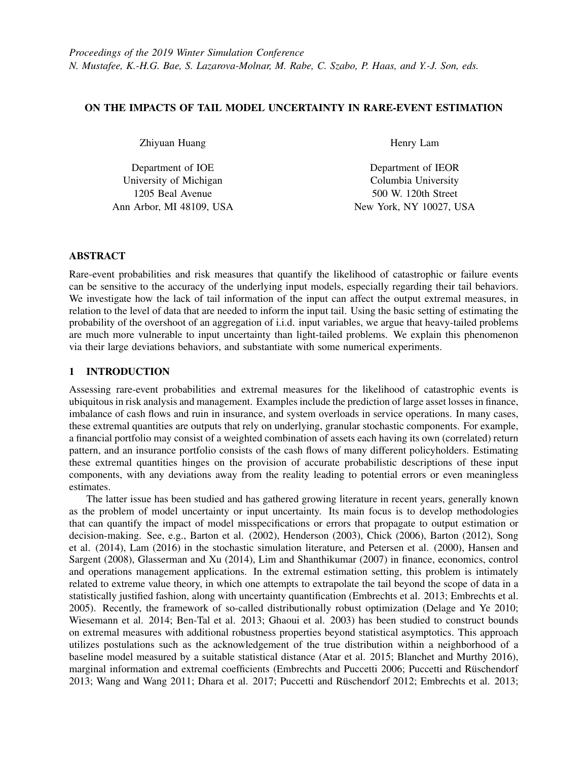substantially heavier tail than the original model when the Kullback-Leibler divergence is used. Lam and Mottet (2015) studied robust rare-event simulation when the input tail is unknown but subject to geometric assumptions. Olvera-Cravioto (2006) studied the impacts on the waiting times when the tail of service times is misspecified or truncated. Relating to Jelenkovic (1999), they investigated the truncation threshold needed to retain the heavy-tail characteristic of a system. They also contrasted it with the light-tail case and observed that the required threshold is higher for heavy tail. Our observation in this regard is thus similar to Olvera-Cravioto (2006), but with a different setting (aggregation of i.i.d. variables) and focus on the statistical implications asked in Questions 1-3. Moreover, we investigate extensively on the numerical evidence and identify situations where the theoretical findings hold or deviate.

In the remainder of this paper, we will focus on a basic setup on the overshoot of an aggregation of i.i.d. variables. Section 2 describes the estimation target and explains the impacts of tail truncation in lightversus heavy-tailed cases. Section 3 shows the numerical results and comparisons in input tail truncation, and the use of empirical distributions and bootstrapping. We leave the full derivations and generalizations to the journal version of this work.

## 2 SETTING AND THEORY

We consider estimating the overshoot of an aggregation of *n* i.i.d. variables, i.e., consider  $p = P(S_n > g)$ where  $S_n = X_1 + \cdots + X_n$  and  $X_i \supseteq \mathbb{R}$  are i.i.d. variables drawn from the distribution *F*. We denote *X* as a generic copy of  $X_i$  for convenience. We assume the density of  $X$  exists and denote as  $f$ . Correspondingly, we let  $\bar{F}(x) = 1$   $F(x)$  be the tail distribution function. We let  $m = E[X] < 4$ . Suppose  $g = g(n)$  is a high level that grows to  $\angle$  as *n* !  $\angle$ . Throughout this paper, for any sequences  $a_n$ ;  $b_n \angle \mathbb{R}$  we write  $a_n = o(b_n)$ if  $a_n = b_n$  / 0 as  $n$  / \times\$,  $a_n = w(b_n)$  if  $a_n = b_n$  / \times\$ as  $n$  / \times\$, and  $a_n = Q(b_n)$  if there exists an integer  $n_0$ such that  $\underline{M}$  *ja*<sub>*n*</sub>=*b*<sub>*nj*</sub>  $\overline{M}$  for *n n*<sub>0</sub> and  $0 < \underline{M}$   $\overline{M} < \frac{\gamma}{\gamma}$ .

It is well known that, if  $g = bn$  for some constant  $b > m$  and X possesses exponential moments, then under mild additional assumptions *p* decays exponentially in *n* (Dembo and Zeitouni 1998). On the other under finid additional assumptions p decays exponentially in *n* (Definition and Zeitoum 1998). On the other hand, if *X* is Pareto-tailed, then, as  $g = w(\frac{m}{n})$ , p approximately equals  $P(\max_i X_i > g - n\pi)$  or  $n\bar{F}(g - n\pi)$ , which corresponds to the one-big-jump behavior.

Our investigation pertaining to Question 0 is the following. Suppose we truncate the distribution  $F(x)$ at the point *u* so that the density becomes 0 for  $x > u$ , i.e., consider the truncated distribution function given by

$$
\tilde{F}_u(x) = \begin{cases} F(x)=F(u) & \text{for } x \quad u \\ 1 & \text{for } x > u \end{cases}
$$

and correspondingly the truncated density  $\tilde{f}_u(x) = (f(x))F(u)J(x \, u)$ , where  $I()$  denotes the indicator function. For convenience, denote  $p(G)$  as the probability  $P_G(S_n > g)$  where  $X_i$ 's are governed by an arbitrary distribution *G*, and we simply denote  $P(S_n > g)$  if  $X_i$ 's are governed by *F*. We consider the approximation error  $p(\tilde{F}_u)$   $p(F)$ .

Note that, roughly speaking, this situation captures the case where we use the empirical distribution to plug into our input model, so that the probability mass is zero for regions outside the scope of data or close to zero at the very tail of the data. The proportional constant  $F(u)$  is introduced to ensure a proper truncated distribution and has little effect on the mass below *u* when *u* is reasonably big.

By definition, the approximation error is

$$
p(\tilde{F}_u) \quad p(F) = \frac{P(S_n > g; X_i \quad u \; \mathcal{S}i = 1; \ldots; n)}{F(u)^n} \quad P(S_n > g). \tag{1}
$$

## 2.1 Heavy-Tail Case

We first consider the Pareto-tail case. Suppose that  $\bar{F}$  has a regularly varying tail in the form

$$
\bar{F}(x) = L(x)x^{-a}(1 + o(1))
$$
\nfor some slowly varying function  $L()$  and  $a > 2$ , and  $E/X_i^{2+d} \underset{\sim}{\leq} 4$ .

\n(2)

Suppose  $n! \not\cong$  and  $g = Q(n)$  (or more generally  $g = w$ )  $\breve{\mathcal{D}}$ *n*log*n*)). In this case, it is known that  $P(S_n > g)$  is approximately  $P(\text{at least one } X_i > g \text{ nm})$ , or probabilistically, that the rare event  $S_n > g$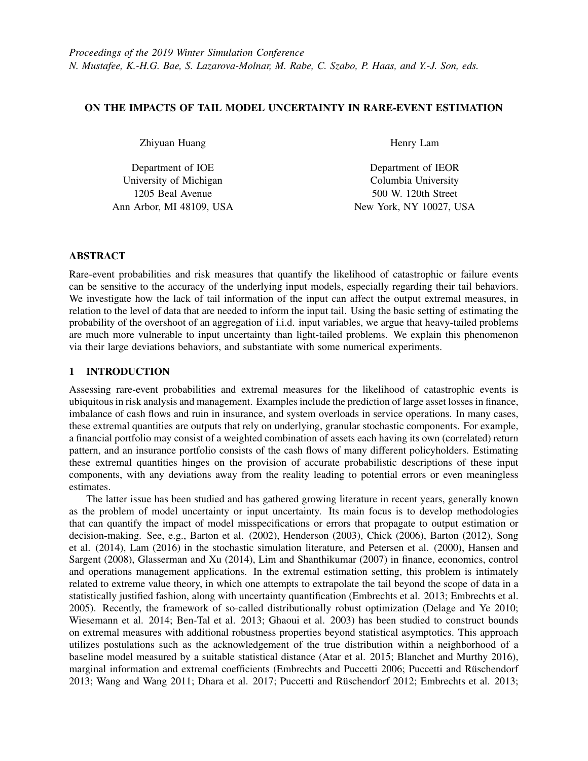happens most likely due to a big jump from one of the *Xi*'s (e.g. Embrechts et al. 2013). Thus, if the truncation level *u* is too small compared to  $g$  *nm*, then the big jump that contributes to the dominating mass of the rare event is barred, making  $P(S_n > g; X_i \mid u \, \mathcal{S}i = 1; \ldots; n)$  substantially smaller than  $P(S_n > g)$ . In this situation,  $p(\tilde{F}_u)$  becomes negligible compared to  $P(S_n > g)$ , and the approximation error (1) is effectively

 $P(S_n > g)$ . In other words, using a truncated input distribution leads to a substantial under-estimate with a bias almost equal to the magnitude of the rare-event probability itself.

Alternately, we can write the approximation error (1) as

 $\overline{a}$ 

$$
\frac{P(S_n > g) \text{ at least one } X_i > u) + P(S_n > g) (1 - F(u)^n)}{F(u)^n}.
$$
\n(3)

Again, when *u* is relatively small compared to *q nm*, then the event fat least one  $X_i > uq$  inside the probability  $P(S_n > g)$ ; at least one  $X_i > u$ ) is redundant, making this probability asymptotically equivalent to  $P(S_n > g)$  and that (3) is asymptotically equivalent to  $P(S_n > g)$ .

We summarize the above as:

**Theorem 1** Suppose  $X_i$ 's are i.i.d. random variables with regularly varying tail distribution  $\overline{F}$  in the form (2) with  $a > 2$  and  $E(X)^{2+d} < 4$ . Let  $n \neq 4$  and  $g = nm + w(\sqrt{n \log n})$ . Assume  $u \in (g \text{ mm}) = \sqrt{ \log n}$ . The discrepancy between using a truncated distribution  $\tilde{F}_u$  and the original distribution F in evaluating the probability  $p(F) = P(S_n > g)$  as  $n \neq \emptyset$  is given by

$$
p(\tilde{F}_u) \quad p(F) = p(F)(1+o(1))
$$

*Proof.* Using equation (1.45) in (Nagaev et al. 1979), when (g *n*m)= p  $\sqrt{n \log n}$  !  $\angle$  and *u* (g *n*m)=  $p_{\text{log }n}$ , we have  $P(S_n > g; X_i \mid u \text{ } \delta i = 1; \dots; n) = o(n\bar{F}(g \mid n\bar{m}))$ . Moreover, by Theorem 1.9 in (Nagaev et al. 1979) (or equation (1.25b) therein), we have  $P(S_n > g) = n\bar{F}(g \cdot nm)(1 + o(1))$  under the given conditions. Thus  $P(S_n > g; X_i \mid u \mathcal{G}_i = 1; \dots; n) = o(P(S_n > g)).$ p

Moreover, note that if  $u = (g \cdot n\mathfrak{m})$ =  $\overline{\log n}$ , we have  $F(u)^n \neq 1$ . Thus

$$
\frac{P(S_n > g; X_i \quad u \; \beta i = 1; \ldots; n)}{F(u)^n} = o(P(S_n > g))
$$

if *u* = (g *n*m)=  $\sqrt{\frac{D_{\text{log }n}}{D}}$ . However, since the truncated distribution  $\tilde{F}_u$  stochastically dominates  $\tilde{F}_{u^{\theta}}$ , i.e.,  $\tilde{F}_u$ ()  $\tilde{F}_{u}(\cdot)$ , for any  $u/u^{\theta}$  such that  $u > u^{\theta}$ , we must have, for given g,  $P(S_n > g/X_i \mid u \theta_i = 1/\dots/n) = F(u)^n$ non-decreasing in *u*. Therefore we have

$$
\frac{P(S_n > g; X_i \quad u \, \mathcal{S}i = 1; \dots; n)}{F(u)^n} = o(P(S_n > g))
$$

 $\Box$ 

for any *u* (g *n*m)=  $\overline{p}$  $\overline{\log n}$ . This concludes the theorem.

Consider the case  $g = bn$  for some  $b > m$ . Theorem 1 states that when *u* is below  $(b \mid m)n =$ p  $\overline{\log n}$ , the rare-event estimation is essentially void, at least asymptotically. Note that this threshold is approximately linear in *n*. When the number of input components *n* is large, it could be difficult to sustain an accuracy level given a finite set of input data.

## 2.2 Light-Tail Case

We now consider *X* that possesses finite exponential moment, i.e., the logarithmic moment generating function  $y(q) = \log E[e^{qx}] < \frac{1}{2}$  for q in a neighborhood of 0. Consider  $g = bn$  for some constant  $b > m$ . Suppose that there exists a unique solution q to the equation  $b = y^{\theta}(q)$ . Then  $p(F) = P(S_n > g)$  exhibits exponential decay as  $n \neq \emptyset$ , i.e.,  $(1=n) \log p(F)$  ! *I* where *I* is the rate function given by the Legendre transform or the convex conjugate of  $y(q)$ 

$$
I = \sup_{q} f b q \quad y(q) g
$$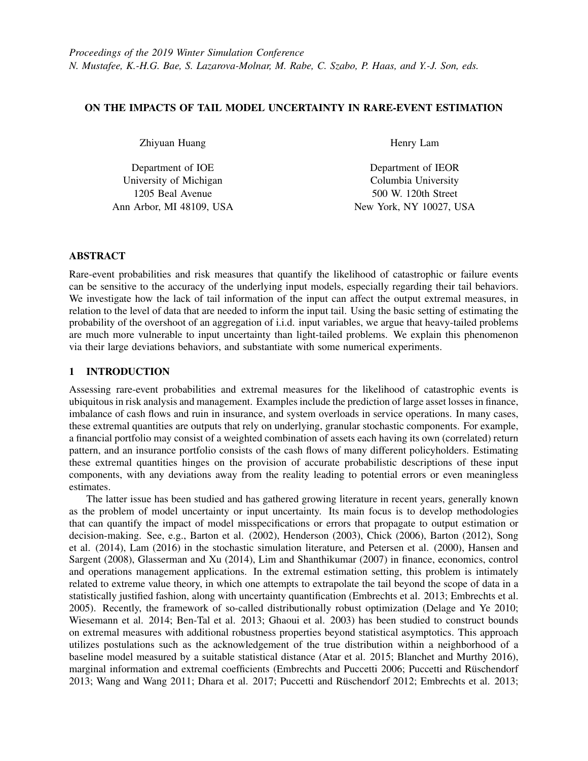In fact, if *X* is further assumed non-lattice, we have the following more accurate asymptotic (Bucklew 2013)

$$
P(S_n > g) = \frac{1}{q \sqrt{2py^{\mathcal{B}}(q) n}} e^{-nI} (1 + o(1)) :
$$

We have:

**Theorem 2** Consider  $g = bn$  for some constant  $b > m$ . Suppose that F is non-lattice, satisfies  $y(q) < \frac{y}{q}$ for q in a neighborhood of 0, and there exists a unique solution q to the equation  $b = y^{\theta}(q)$ . Then, as long as the truncation level *u* is chosen such that  $ne^{q}$  *uF* $(u)$  *l* 0, the discrepancy between using a truncated distribution  $\tilde{F}_u$  and the original distribution *F* in evaluating the probability  $p(F) = P(S_n > g)$  is asymptotically negligible, i.e.,

$$
p(\tilde{F}_u) \quad p(F) = o(p(F)).
$$

*Sketch of Proof.* We consider the rate function corresponding to  $p(\tilde{F}_u)$ , given by  $I_u = \sup f b q \quad y_u(q) g$ 

where  $y_u(q)$  denotes the logarithmic moment generating function of  $\tilde{F}_u$ , namely  $\log(E[e^{qx}; X \mid u] = F(u))$ . Now, consider a change of variable  $r = F(u)$ , and abuse notation slightly to write  $y_r(q) = \log(E[e^{qx}; X])$  $F^{-1}(r)$  = *r*) and the corresponding rate function as *I<sub>r</sub>*. By Taylor series expansion we have, as *u* ! \ \ 0 or *r* ! 1,

$$
I_u \quad I \quad \frac{d}{dr} \mathcal{Y}_r(q) \left( F(u) \quad 1 \right) \tag{4}
$$

where  $\frac{d}{dr}y_r(q)$  is the derivative of  $I_r$  by the generalized Danskin's Theorem (Clarke 1975). Note that 1

$$
\frac{d}{dr}y_r(q) = \frac{e^{q F^{-1}(r)}f(F^{-1}(r))}{f(F^{-1}(r))E[e^{q X}; X - F^{-1}(r)]} - \frac{e^{q u}}{F[e^{q X}; X - u]} - \frac{1}{F(u)}.
$$

Hence from (4) we have

$$
I_u \quad I + \left(\frac{e^{q\ u}}{E[e^{q\ X};X\quad u]} \quad \frac{1}{F(u)}\right)\bar{F}(u):
$$

Now, one can show that, as  $u / \frac{4}{3}$ , we have  $q + d$  with  $d / 0$ . Thus the approximation error  $p(\tilde{F}_u)$   $p(F)$  is given by

$$
\frac{P(S_n > g; X_i \quad u \, \mathcal{S}i = 1; \dots; n)}{F(u)^n} \quad P(S_n > g)
$$
\n
$$
\frac{1}{(q + d)\sqrt{2py^{\mathcal{W}}(q + d; u)n}} e^{-nI \cdot n \left(\frac{e^{q} u}{E[e^{q X}; X - u] - \frac{1}{F(u)}}\right) \bar{F}(u)} \quad \frac{1}{q \sqrt{2py^{\mathcal{W}}(q) n}} e^{-nI}.
$$
\n(5)

Thus, when

$$
n\left(\frac{e^{q\ u}}{E[e^{q\ X};X\quad u]} \quad \frac{1}{F(u)}\right)\overline{F}(u) \quad l \quad 0 \tag{6}
$$

we have (5) being asymptotically negligible compared to  $(1-(q\sqrt{2py^M(q/n)})e^{-nI}$ , which would conclude our claim. Finally, we only need to observe that (6) is equivalent to  $ne^{q}$   $u\bar{F}(u)$  ! 0.  $\Box$ 

Theorem 2 postulates that as long as the truncation level  $u$  is chosen high enough relative to  $n$  such that  $ne^{q}$  *u* $\overline{F}(u)$  ! 0, then the model error in using the truncated input is negligible. In contrast to the heavy-tail case, this condition on *u* dictates typically a logarithmic requirement on *n*. For instance, if *F* is an exponential distribution, say with rate *l*, then we have *ne*  $(\ell q)$ <sup>*u*</sup>  $\ell q$ <sup>*i*</sup> 0 which holds as long as  $n = w(\log p)$ . If *F* is a Gaussian distribution, say with mean *m* and variance  $S^2$ , then we have  $ne^{q(u-m)^2-(2S^2)} =$ ith mean *m* and variance  $S^2$ , then we have  $ne^{q(u-m)^2=(2S^2)} = 2pu$  ! 0 which holds as long as  $u = w^{n} \overline{\log n}$ .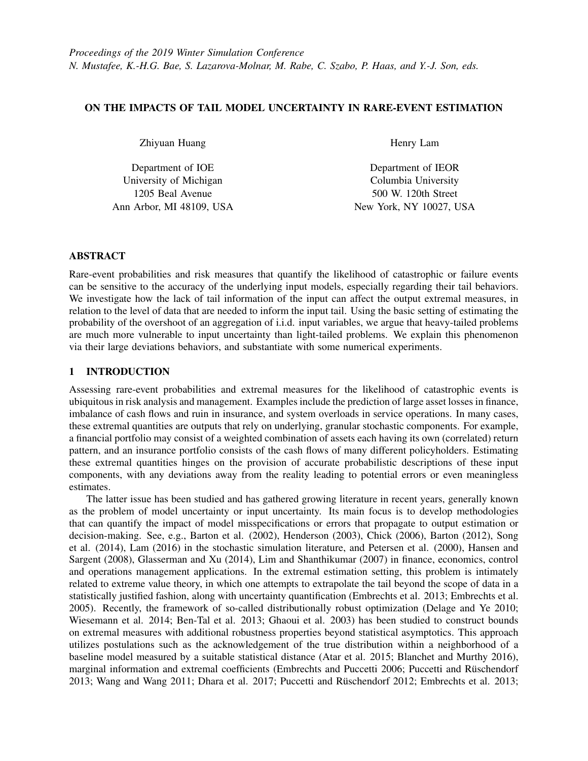

Figure 1: The probability estimation with untruncated and truncated distributions. "Trunc 0.001" denotes the probability estimate using distribution turncated at 0.001 tail quantile. (a)  $q = 60$ ;  $n = 30$ . (b)  $q = 100; n = 30.$ 

## 3 NUMERICAL EXPERIMENTS

We consider estimating the probability  $p = P(\hat{a}_{i=1}^n X_i > g)$ , with different number of variables *n*, rarity levels g and distributions of *X<sup>i</sup>* . In each of our experiments, we implement variance reduction techniques (including importance sampling and conditional Monte Carlo; for further details, see Asmussen and Glynn (2007)) to achieve better computation efficiency and use sufficient samples to ensure negligible simulation noise. We investigate the effect of input tail truncation (Question 0) in Section 3.1, using empirical distribution (Question 1) in Section 3.2, bootstrap (Question 2) in Section 3.3, and using peak-over-threshold (Question 3) in Section 3.4.

#### 3.1 Truncating Input Tail

We test with truncation points on the input distribution corresponding to 0.05, 0.01 and 0.001 tail probability masses respectively, i.e., *t* such that  $P(X > t) = a$  where  $a = 0.05$ ; 0.01; 0.001 (We shall refer to as the a tail quantile). When we truncate the distribution at *t*, we only use  $f(x|x < t)$  to generate  $X_i$ 's. The estimate with untruncated distribution is set as a baseline for comparison.

We generate  $X_i$ 's using the generalized Pareto distribution, varying the shape parameter  $X$  and the scale parameter s and fixing the threshold parameter to be 0. Note that when  $x = 0$ , the distribution is light-tailed (equivalent to exponential distribution); when  $x > 0$  the distribution is heavy-tailed and larger x gives heavier tail. We vary x from 0 to 0.2 to observe what would change if the tail part grows heavier. When x varies, we keep the mean of the distribution to be 1 by letting  $S = 1 - X$ . Our experiments also include different settings of g and *n*. Figures 1 and 2 show the experiment results.

Before comparing light and heavy tails, we note that the tail part of the distribution is generally quite important to the probability estimation. This claim is supported by the gaps between the probability estimates using true distribution and truncated distributions in Figures 1 and 2. For instance, suppose we truncate at the 0.01 tail quantile. The gap between the estimate with the truth (between the blue solid line and the yellow dash) is roughly greater than one order of magnitude in almost all cases, which means we are not able to estimate a correct scale of the probability without the 0.01 tail information. Moreover, for fixed g and *n*, we see a smooth trend of the estimates (in Figures 1 and 2) when the shape parameter increases from 0.

Next we compare the impacts between light and heavy tails. Although the trends in the figures seem to suggest smaller gaps as x increases (heavier tail), a more proper comparison should fix the target probability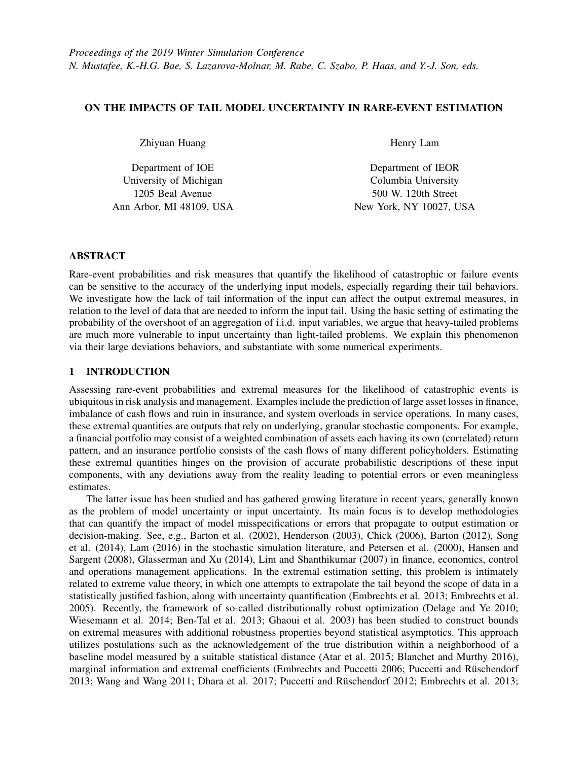

Figure 2: The probability estimation with untruncated and truncated distributions. "Trunc 0.001" denotes the probability estimate using distribution turncated at 0.001 tail quantile. (a)  $q = 40$ ;  $n = 20$ . (b)  $q = 60$ ;  $n = 20$ .

level and the truncation level. In this case, the impact of the heavier tail appears larger. In particular, we compare the gaps between the estimate with true distribution (blue solid line) and truncated distribution (orange dash-dot line) at the 0.001 tail quantile in Figure 1a at shape parameter value around 0 and in Figure 1b at value around 0.2. In these two cases, the objective probabilities have similar values and the truncated tail quantile are the same, and in the heavy-tail case, a larger gap can be seen. More specifically, the gap is smaller than one order of magnitude in light tail (Figure 1a at 0) and larger than one order of magnitude in heavy tail (Figure 1b at 0.2).

## 3.2 Data-driven Rare-Event Simulation

We consider the data-driven situation (i.e. when distribution of *X* is unknown but data is available) and use empirical distributions to drive the simulation of  $p$ . Here we set  $X_i$  as Gaussian distribution and generalized Pareto distribution with  $x = 0.2$ . We independently generate data sets of  $X_i$ 's for 100 replications to construct empirical distributions to drive the simulation. Figures 3 and 4 show the true probability, the averaged estimates from all replications, and also the maximum and minimum estimates among the replications to provide a measure of variability.

In the light-tail cases, Figures 3 and 4a show similar trends in that the estimation variability reduces as the number of samples increases (the maximum and minimum values approach to the true probability as sample increases). The variability is higher when the rarity level grows, which can be observed from the slower convergence of the maximum and minimum estimates (Figure 4a versus Figure 3a).

On the other hand, the performance in the heavy-tail cases (Figure 4b) is more "abnormal". When the sample size is small, e.g.  $10<sup>4</sup>$ , the maximum estimate from the 100 replications is smaller than the true probability. Even with more samples  $(10^5 \text{ and } 10^6)$ , in most  $(92 \text{ and } 75 \text{ out of the } 100 \text{ respectively})$ replications, we obtain overly small estimates compared to the true probability (a difference of more than 5 orders of magnitude). These suggest a severe underestimation in the heavy-tail problem with limited data.

## 3.3 Using Nonparametric Bootstrap

Next we investigate the use of bootstrapping to assess input uncertainty. Such a technique has been studied in the simulation literature (e.g., Barton and Schruben 2001). In our experiment, we construct bootstrapped empirical distributions by repeatedly resampling with replacement and with full size from the data and using them to drive enough simulation runs per resample. The bootstrap size is  $B = 100$ . We use the empirical quantiles of the bootstrap estimates to construct a confidence interval for the estimate. We repeat our experiments 100 times. Here we again consider *X<sup>i</sup>* with Gaussian distribution and generalized Pareto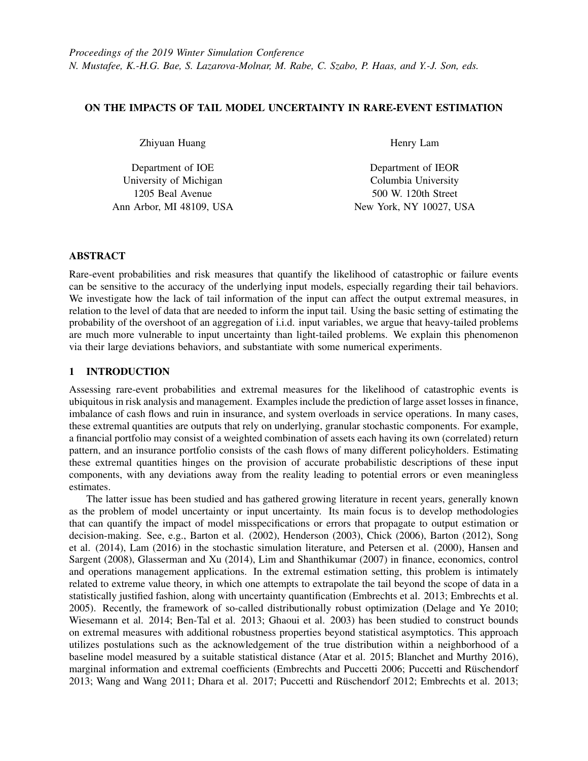

Figure 3: The estimation performance with different number of samples based on 100 replications. (a) Gaussian distribution,  $q = 70$ . (b) Gaussian distribution,  $q = 90$ .



Figure 4: The estimation performance with different number of samples based on 100 replications. (a) Gaussian distribution,  $q = 100$ . (b) Generalized Pareto distribution,  $q = 100$ .

|         |                     | $q = 70$ , $p = 2.6561$ 10 <sup>5</sup> |                           | $g = 100, p = 3.882 \quad 10^{-9}$ | $g = 115, p = 1.5734 \quad 10^{-11}$ |                    |  |
|---------|---------------------|-----------------------------------------|---------------------------|------------------------------------|--------------------------------------|--------------------|--|
| Samples | $\sqrt{C}$ Coverage | CI Width                                | Coverage $\vert$ CI Width |                                    | Coverage   CI Width                  |                    |  |
| 100     | 0.9                 | 0.4019                                  | 0.9                       | 0.07700                            | 0.9                                  | 0.024              |  |
| 500     | 0.93                | 0.0203                                  | 0.93                      | 2.75 10                            | 0.93                                 | $10^{-5}$<br>1:20  |  |
| 1000    | 0.97                | 0.0051                                  | 0.97                      | 1:89<br>$10^{-5}$                  | 0.97                                 | 10<br>4.25         |  |
| 5000    | 0.97                | $2.33 \t10^{-4}$                        | 0.97                      | 1:155<br>10                        | 0.97                                 | $10^{-10}$<br>9.36 |  |

Table 1: The coverage and the width of plain bootstrap confidence interval. The results are computed from 30 replications. The rare event problem is defined by the sum of standard Gaussian variables.

distribution with  $x = 0.2$ . We examine whether the confidence intervals constructed from the bootstrap scheme provide the target coverage (95% in our experiment).

Tables 1 and 2 suggest that the bootstrap works well in light-tailed problems, but fails in heavy-tail problems. This ties to our explanation in Section 2 that the impact from tail uncertainty is more profound in the heavy-tail case, which cannot be captured through the standard bootstrap. Table 1 shows that, for light-tail problems., the coverages of the confidence intervals are above 90% in all the considered cases (different numbers of samples and rarity levels). Note that when the number of samples is small (e.g. 100)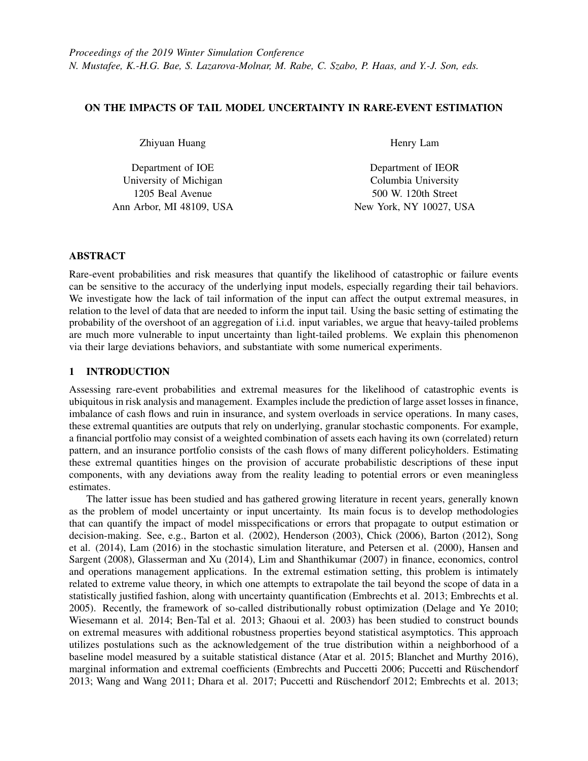Table 2: The coverage and the width of bootstrap confidence interval. The results are computed from 100 replications. The problem is defined by the sum of generalized Pareto variables. The true probability is 1.9195 10<sup>7</sup>. "# of 0 Width" presents the number of replications with 0 confidence interval width.

|                 |      | Sample Size   Coverage   CI Width (exclude 0)   $\#$ of 0 Width |    |  |  |
|-----------------|------|-----------------------------------------------------------------|----|--|--|
| 1 $\Omega^4$    | 0.02 | $1:15 \quad 10^{-5}$                                            | 97 |  |  |
| 10 <sup>6</sup> | 0.02 | $10^{-6}$<br>2:40                                               | 80 |  |  |
| 10              | 0.04 | 2.00                                                            |    |  |  |



Figure 5: The confidence interval coverage and width of the generalized Pareto tail bootstrap scheme (fitted using MLE) on the problem with  $p = 5.7095 - 10^{-8}$ . (a) Coverage. (b) Average CI Width.

the confidence interval width is relatively big compared to the estimated probability (0.4 to 0.024 when  $p = 2.66 \pm 10^{-5}$  to 1.57 10<sup>-11</sup>). Though this could be pessimistic, these wide intervals successfully detect the unreliable probability estimate (see experiments in Section 3.2).

On the other hand, Table 2 shows that the coverage from the standard bootstrap are close to 0 in all considered cases, including the case of using  $10^7$  samples to simulate a rare-event probability of order  $10^{-7}$ . Also, the last column shows that when the sample size is smaller than  $10^6$ , most of the constructed confidence intervals have a 0 width. This suggests that in heavy-tail problems, the lack of tail information not only causes problems in estimating the probability itself, but can also deem the assessment of input uncertainty very challenging.

## 3.4 Bootstrap using Generalized Paerto Distribution

Lastly, we attempt to overcome the challenges in Section 3.3 by fitting a generalized Pareto distribution to the tail of the data. We then run the bootstrap similar to before taking into the fitted tail from each resample. We again consider different truncation points with 0.05, 0.01 and 0.005 tail quantile in our experiment. Here we use  $X_i$  with a t-distribution with degree of freedom  $n = 4$ . The considered numbers of samples (from  $10^4$  to  $10^6$ ) are not enough for standard bootstrap to work (see Table 2). Similar to the experiments in Section 3.3, each confidence interval is calculated from 100 bootstrap size, and the reported results are based on 30 experiments. To fit the generalized Pareto, we implement the maximum likelihood estimation (MLE), the method-of-moments (MOM) and probability-weighted moments (PWM) (Castillo and Hadi 1997; Hosking and Wallis 1987).

The experiment results show that although the overall performance of this Pareto tail bootstrap scheme is better than the standard bootstrap, the obtained confidence interval can still be misleading. The latter is caused by the model biasedness from the generalized Pareto in finite sample that the bootstrap cannot overcome. As shown in Figure 5, the coverage could drop to 0 as we increase the number of samples.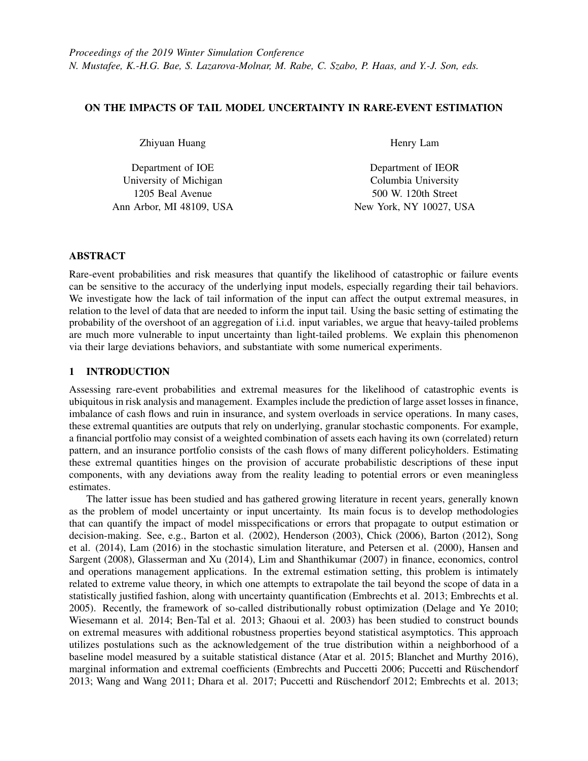Table 3: The coverage and the width of confidence interval from bootstrap using generalized Pareto distribution. "# Spl" represents the number of samples and "Tail Qtl" represents the tail quantile of the truncation points. The problem has a rare event probability  $p = 5.7095 \, 10^{-8}$ .

|          | $#$ Spl    | 10 <sup>4</sup>      |      |                     | $10^{5}$ |      |                | $10^{6}$ |      |         |
|----------|------------|----------------------|------|---------------------|----------|------|----------------|----------|------|---------|
| Tail Qtl | Method     | CI Width<br>Coverage |      | Coverage            | CI Width |      | Coverage       | CI Width |      |         |
| 0.05     | <b>MLE</b> | 0.9                  | 2:10 | 10<br>6             | 0.27     | 4:17 | 8<br>10        | $\Omega$ | 6:89 | 9<br>10 |
|          | <b>MOM</b> | 0.67                 | 1:23 | 6<br>10             | 0.53     | 4:89 | 10             | 0.30     | 3:19 | 10      |
|          | <b>PWM</b> | 0.87                 | 1:81 | 6<br>10             | 0.30     | 4:57 | 8<br>10        | $\Omega$ | 7.04 | 9<br>10 |
| 0.01     | <b>MLE</b> | 0.90                 | 3:36 | 5<br>10             | 0.77     | 8:46 | 10             | 0.80     | 7.56 | 8<br>10 |
|          | <b>MOM</b> | 0.60                 | 1.26 | 6<br>10             | 0.70     | 8:10 | 10             | 0.77     | 5.61 | 10      |
|          | <b>PWM</b> | 0.90                 | 1.09 | 5<br>10             | 0.77     | 8:13 | 10             | 0.77     | 8:84 | 8<br>10 |
| 0.005    | <b>MLE</b> | 0.87                 | 5:81 | 10<br>$\mathcal{L}$ | 0.90     | 1:46 | 10<br>$\sigma$ | 0.97     | 1:42 | 10      |
|          | <b>MOM</b> | 0.63                 | 1:17 | 6<br>10             | 0.67     | 8:43 | 10             | 0.87     | 6:10 | 10      |
|          | <b>PWM</b> | 0.87                 | 1.25 | 10                  | 0.83     | 1:58 | $\theta$<br>10 | 0.97     | 1.70 | 10      |

This is because when the interval width shrinks as the number of samples increases, the model biasedness starts to surface.

Among the three approaches for fitting generalized Pareto distribution, MLE and PWM turn out to be more reliable than MOM (see Table 3, where the coverage of MOM is less than the other two approaches in most cases). The performance matches the documented fact that MOM is unreliable when the shape parameter  $x > 0.2$ . When the sample size is smaller (with  $10<sup>4</sup>$  samples), PWM gives a smaller average confidence interval width than MLE, while providing similar coverage (e.g. with 0.01 tail quantile the widths are  $3.36$  10<sup>5</sup> for MLE and 1.09 10<sup>5</sup> for PWM). It therefore suggests that PWM is more suitable for smaller samples. When the sample size is large  $(10<sup>6</sup>)$ , MLE has an upper hand in terms of confidence interval width (e.g. with 0.005 tail quantile the widths are  $1.42 \times 10^{-7}$  for MLE and  $1.70 \times 10^{-7}$ for PWM).

## ACKNOWLEDGMENTS

We gratefully acknowledge support from the National Science Foundation under grants CAREER CMMI-1653339/1834710 and IIS-1849280.

## REFERENCES

- Asmussen, S., and P. W. Glynn. 2007. *Stochastic Simulation: Algorithms and Analysis*, Volume 57. Springer Science & Business Media.
- Atar, R., K. Chowdhary, and P. Dupuis. 2015. "Robust Bounds on Risk-sensitive Functionals via Renyi Divergence". ´ *SIAM/ASA Journal on Uncertainty Quantification* 3(1):18–33.
- Barton, R., S. Chick, R. Cheng, S. Henderson, A. Law, B. Schmeiser, L. Leemis, L. Schruben, and J. Wilson. 2002. "Panel Discussion on Current Issues in Input Modeling". In *Proceedings of the 2002 Winter Simulation Conference*, edited by E. Ycesan, C.-H. Chen, J. L. Snowdon, and J. M. Charnes, 353–369. Piscataway, New Jersey: Institute of Electrical and Electronics Engineers, Inc.
- Barton, R. R. 2012. "Input Uncertainty in Outout Analysis". In *Proceedings of the 2012 Winter Simulation Conference*, edited by C. Laroque, J. Himmelspach, R. Pasupathy, O. Rose, and A. Uhrmacher, 67–78. Piscataway, New Jersey: Institute of Electrical and Electronics Engineers, Inc.
- Barton, R. R., and L. W. Schruben. 2001. "Resampling Methods for Input Modeling". In *Proceedings of the 2001 Winter Simulation Conference*, edited by B. A. Peters, J. S. Smith, D. J. Medeiros, and M. W. Rohrer, 372–378. Piscataway, New Jersey: Institute of Electrical and Electronics Engineers, Inc.
- Ben-Tal, A., D. Den Hertog, A. De Waegenaere, B. Melenberg, and G. Rennen. 2013. "Robust Solutions of Optimization Problems Affected by Uncertain Probabilities". *Management Science* 59(2):341–357.
- Blanchet, J., C. Dolan, and H. Lam. 2014. "Robust Rare-event Performance Analysis with Natural Non-convex Constraints". In *Proceedings of the 2014 Winter Simulation Conference*, edited by A. Tolk, S. Y. Diallo, I. O.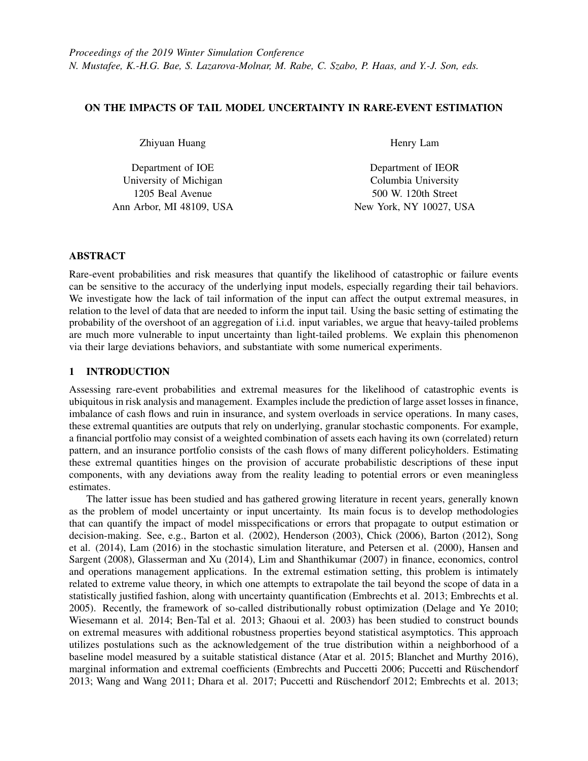Ryzhov, L. Yilmaz, S. Buckley, and J. A. Miller, 595–603. Piscataway, New Jersey: Institute of Electrical and Electronics Engineers, Inc.

- Blanchet, J., and K. R. Murthy. 2016. "On Distributionally Robust Extreme Value Analysis". *arXiv preprint arXiv:1601.06858*.
- Bucklew, J. 2013. *Introduction to Rare Event Simulation*. Springer Science & Business Media.
- Castillo, E., and A. S. Hadi. 1997. "Fitting the Generalized Pareto Distribution to Data". *Journal of the American Statistical Association* 92(440):1609–1620.
- Chick, S. E. 2006. "Bayesian Ideas and Discrete Event Simulation: Why, What and How". In *Proceedings of the 2006 Winter Simulation Conference*, edited by L. F. Perrone, F. P. Wieland, J. Liu, B. G. Lawson, D. M. Nicol, and R. M. Fujimoto, 96–105. Piscataway, New Jersey: Institute of Electrical and Electronics Engineers, Inc.
- Clarke, F. H. 1975. "Generalized Gradients and Applications". *Transactions of the American Mathematical Society* 205:247–262.
- Delage, E., and Y. Ye. 2010. "Distributionally Robust Optimization under Moment Uncertainty with Application to Data-driven Problems". *Operations Research* 58(3):595–612.
- Dembo, A., and O. Zeitouni. 1998. *Large Deviations Techniques and Applications*. 2nd ed. Springer Science & Business Media.
- Denisov, D., A. B. Dieker, V. Shneer et al. 2008. "Large Deviations for Random Walks Under Subexponentiality: the Big-jump Domain". *The Annals of Probability* 36(5):1946–1991.
- Dhara, A., B. Das, and K. Natarajan. 2017. "Worst-Case Expected Shortfall with Univariate and Bivariate Marginals". *arXiv preprint arXiv:1701.04167*.
- Dupuis, P., M. A. Katsoulakis, Y. Pantazis, and L. Rey-Bellet. 2018. "Sensitivity Analysis for Rare Events based on Rényi Divergence". arXiv preprint arXiv:1805.06917.
- Embrechts, P., R. Frey, and A. McNeil. 2005. "Quantitative Risk Management". *Princeton Series in Finance, Princeton* 10.
- Embrechts, P., C. Klüppelberg, and T. Mikosch. 2013. Modelling Extremal Events: For Insurance and Finance, Volume 33. Springer Science & Business Media.
- Embrechts, P., and G. Puccetti. 2006. "Bounds for Functions of Multivariate Risks". *Journal of Multivariate Analysis* 97(2):526–547.
- Embrechts, P., G. Puccetti, and L. Rüschendorf. 2013. "Model Uncertainty and VaR Aggregation". *Journal of Banking & Finance* 37(8):2750–2764.
- Ghaoui, L. E., M. Oks, and F. Oustry. 2003. "Worst-case Value-at-risk and Robust Portfolio Optimization: a Conic Programming Approach". *Operations Research* 51(4):543–556.
- Glasserman, P., and X. Xu. 2014. "Robust Risk Measurement and Model Risk". *Quantitative Finance* 14(1):29–58.
- Hansen, L. P., and T. J. Sargent. 2008. *Robustness*. Princeton university press.
- Henderson, S. G. 2003. "Input Model Uncertainty: Why Do We Care and What Should We Do About It?". In *Proceedings of the 2003 Winter Simulation Conference*, edited by S. Chick, P. J. Snchez, D. Ferrin, and D. J. Morrice, Volume 1, 90–100. Piscataway, New Jersey: Institute of Electrical and Electronics Engineers, Inc.
- Hosking, J. R., and J. R. Wallis. 1987. "Parameter and Quantile Estimation for the Generalized Pareto Distribution". *Technometrics* 29(3):339–349.
- Jelenkovic, P. R. 1999. "Network Multiplexer with Truncated Heavy-tailed Arrival Streams". In *Proceedings of the Eighteenth Annual Joint Conference of the IEEE Computer and Communications Societies*, Volume 2, 625–632. IEEE.
- Lam, H. 2016. "Advanced Tutorial: Input Uncertainty and Robust Analysis in Stochastic Simulation". In *Proceedings of the 2016 Winter Simulation Conference*, edited by T. M. K. Roeder, P. I. Frazier, R. Szechtman, and E. Zhou, 178–192. Piscataway, New Jersey: Institute of Electrical and Electronics Engineers, Inc.
- Lam, H., and C. Mottet. 2015. "Simulating Tail Events with Unspecified Tail Models". In *Proceedings of the 2015 Winter Simulation Conference*, edited by L. Yilmaz, W. K. V. Chan, I. Moon, T. M. K. Roeder, C. Macal, and M. D. Rossetti, 392–402. Piscataway, New Jersey: Institute of Electrical and Electronics Engineers, Inc.
- Lam, H., and C. Mottet. 2017. "Tail Analysis without Parametric Models: A Worst-case Perspective". *Operations Research* 65(6):1696–1711.
- Leadbetter, M. R. 1991. "On a Basis for Peaks over Threshold Modeling". *Statistics & Probability Letters* 12(4):357– 362.